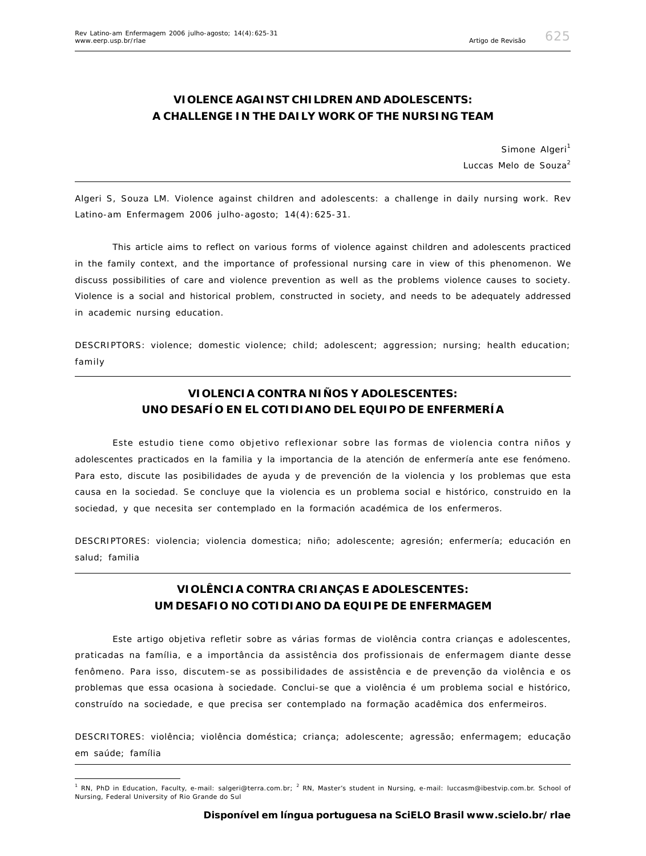# **VIOLENCE AGAINST CHILDREN AND ADOLESCENTS: A CHALLENGE IN THE DAILY WORK OF THE NURSING TEAM**

*Simone Algeri<sup>1</sup> Luccas Melo de Souza<sup>2</sup>*

Algeri S, Souza LM. Violence against children and adolescents: a challenge in daily nursing work. Rev Latino-am Enfermagem 2006 julho-agosto; 14(4):625-31.

*This article aims to reflect on various forms of violence against children and adolescents practiced in the family context, and the importance of professional nursing care in view of this phenomenon. We discuss possibilities of care and violence prevention as well as the problems violence causes to society. Violence is a social and historical problem, constructed in society, and needs to be adequately addressed in academic nursing education.*

*DESCRIPTORS: violence; domestic violence; child; adolescent; aggression; nursing; health education; family*

# **VIOLENCIA CONTRA NIÑOS Y ADOLESCENTES: UNO DESAFÍO EN EL COTIDIANO DEL EQUIPO DE ENFERMERÍA**

*Este estudio tiene como objetivo reflexionar sobre las formas de violencia contra niños y adolescentes practicados en la familia y la importancia de la atención de enfermería ante ese fenómeno. Para esto, discute las posibilidades de ayuda y de prevención de la violencia y los problemas que esta causa en la sociedad. Se concluye que la violencia es un problema social e histórico, construido en la sociedad, y que necesita ser contemplado en la formación académica de los enfermeros.*

*DESCRIPTORES: violencia; violencia domestica; niño; adolescente; agresión; enfermería; educación en salud; familia*

## **VIOLÊNCIA CONTRA CRIANÇAS E ADOLESCENTES: UM DESAFIO NO COTIDIANO DA EQUIPE DE ENFERMAGEM**

*Este artigo objetiva refletir sobre as várias formas de violência contra crianças e adolescentes, praticadas na família, e a importância da assistência dos profissionais de enfermagem diante desse fenômeno. Para isso, discutem-se as possibilidades de assistência e de prevenção da violência e os problemas que essa ocasiona à sociedade. Conclui-se que a violência é um problema social e histórico, construído na sociedade, e que precisa ser contemplado na formação acadêmica dos enfermeiros.*

*DESCRITORES: violência; violência doméstica; criança; adolescente; agressão; enfermagem; educação em saúde; família*

<sup>&</sup>lt;sup>1</sup> RN, PhD in Education, Faculty, e-mail: salgeri@terra.com.br; <sup>2</sup> RN, Master's student in Nursing, e-mail: luccasm@ibestvip.com.br. School of Nursing, Federal University of Rio Grande do Sul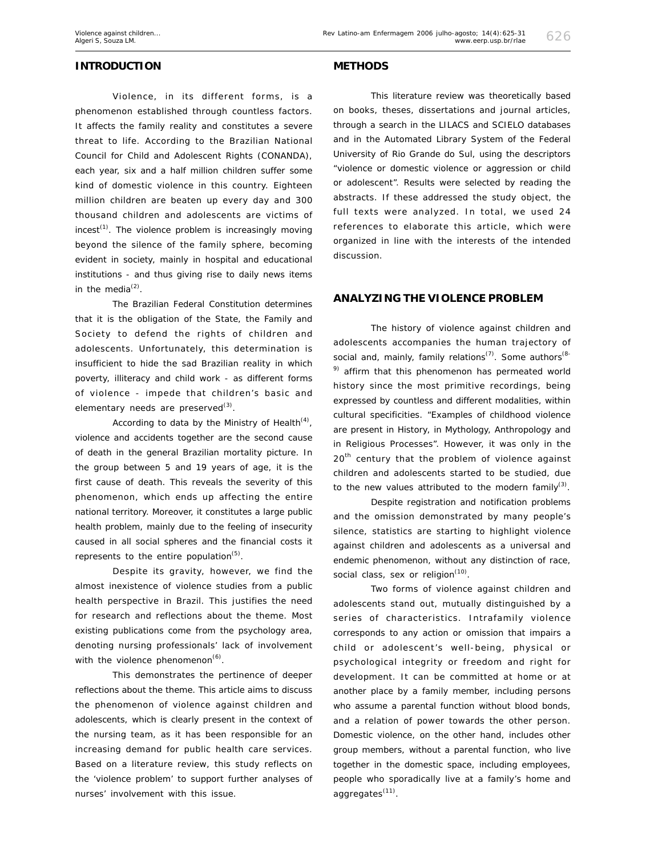## **INTRODUCTION**

Violence, in its different forms, is a phenomenon established through countless factors. It affects the family reality and constitutes a severe threat to life. According to the Brazilian National Council for Child and Adolescent Rights (CONANDA), each year, six and a half million children suffer some kind of domestic violence in this country. Eighteen million children are beaten up every day and 300 thousand children and adolescents are victims of  $i$ ncest<sup>(1)</sup>. The violence problem is increasingly moving beyond the silence of the family sphere, becoming evident in society, mainly in hospital and educational institutions - and thus giving rise to daily news items in the media $^{(2)}$ .

The Brazilian Federal Constitution determines that it is the obligation of the State, the Family and Society to defend the rights of children and adolescents. Unfortunately, this determination is insufficient to hide the sad Brazilian reality in which poverty, illiteracy and child work - as different forms of violence - impede that children's basic and elementary needs are preserved $^{(3)}$ .

According to data by the Ministry of Health $(4)$ , violence and accidents together are the second cause of death in the general Brazilian mortality picture. In the group between 5 and 19 years of age, it is the first cause of death. This reveals the severity of this phenomenon, which ends up affecting the entire national territory. Moreover, it constitutes a large public health problem, mainly due to the feeling of insecurity caused in all social spheres and the financial costs it represents to the entire population<sup>(5)</sup>.

Despite its gravity, however, we find the almost inexistence of violence studies from a public health perspective in Brazil. This justifies the need for research and reflections about the theme. Most existing publications come from the psychology area, denoting nursing professionals' lack of involvement with the violence phenomenon $<sup>(6)</sup>$ .</sup>

This demonstrates the pertinence of deeper reflections about the theme. This article aims to discuss the phenomenon of violence against children and adolescents, which is clearly present in the context of the nursing team, as it has been responsible for an increasing demand for public health care services. Based on a literature review, this study reflects on the 'violence problem' to support further analyses of nurses' involvement with this issue.

### **METHODS**

This literature review was theoretically based on books, theses, dissertations and journal articles, through a search in the LILACS and SCIELO databases and in the Automated Library System of the Federal University of Rio Grande do Sul, using the descriptors "violence or domestic violence or aggression or child or adolescent". Results were selected by reading the abstracts. If these addressed the study object, the full texts were analyzed. In total, we used 24 references to elaborate this article, which were organized in line with the interests of the intended discussion.

## **ANALYZING THE VIOLENCE PROBLEM**

The history of violence against children and adolescents accompanies the human trajectory of social and, mainly, family relations<sup>(7)</sup>. Some authors<sup>(8-1</sup>)  $9)$  affirm that this phenomenon has permeated world history since the most primitive recordings, being expressed by countless and different modalities, within cultural specificities. "Examples of childhood violence are present in History, in Mythology, Anthropology and in Religious Processes". However, it was only in the  $20<sup>th</sup>$  century that the problem of violence against children and adolescents started to be studied, due to the new values attributed to the modern family<sup>(3)</sup>.

Despite registration and notification problems and the omission demonstrated by many people's silence, statistics are starting to highlight violence against children and adolescents as a universal and endemic phenomenon, without any distinction of race, social class, sex or religion<sup>(10)</sup>.

Two forms of violence against children and adolescents stand out, mutually distinguished by a series of characteristics. Intrafamily violence corresponds to any action or omission that impairs a child or adolescent's well-being, physical or psychological integrity or freedom and right for development. It can be committed at home or at another place by a family member, including persons who assume a parental function without blood bonds, and a relation of power towards the other person. Domestic violence, on the other hand, includes other group members, without a parental function, who live together in the domestic space, including employees, people who sporadically live at a family's home and aggregates<sup>(11)</sup>.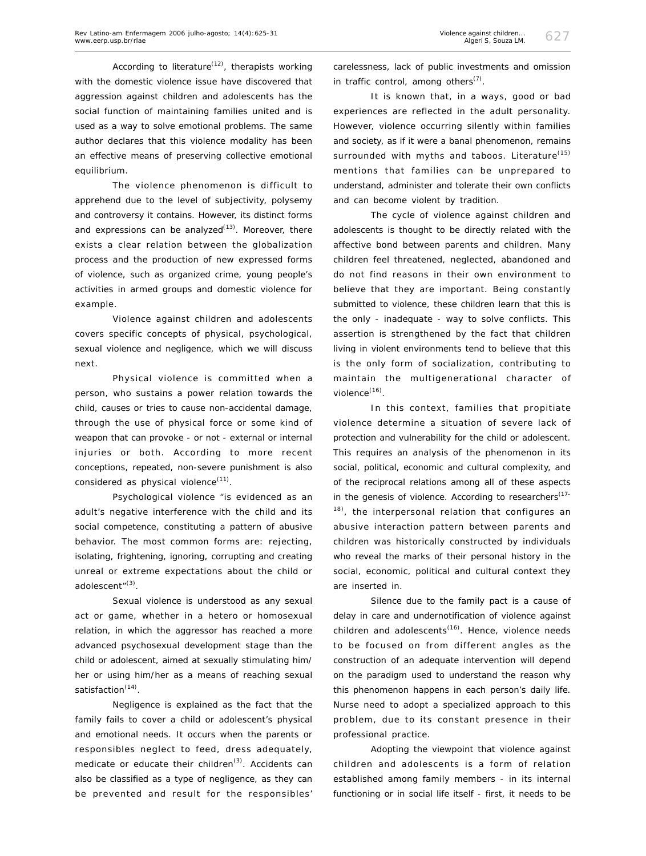According to literature<sup> $(12)$ </sup>, therapists working with the domestic violence issue have discovered that aggression against children and adolescents has the social function of maintaining families united and is used as a way to solve emotional problems. The same author declares that this violence modality has been an effective means of preserving collective emotional equilibrium.

The violence phenomenon is difficult to apprehend due to the level of subjectivity, polysemy and controversy it contains. However, its distinct forms and expressions can be analyzed<sup>(13)</sup>. Moreover, there exists a clear relation between the globalization process and the production of new expressed forms of violence, such as organized crime, young people's activities in armed groups and domestic violence for example.

Violence against children and adolescents covers specific concepts of physical, psychological, sexual violence and negligence, which we will discuss next.

Physical violence is committed when a person, who sustains a power relation towards the child, causes or tries to cause non-accidental damage, through the use of physical force or some kind of weapon that can provoke - or not - external or internal injuries or both. According to more recent conceptions, repeated, non-severe punishment is also considered as physical violence $(11)$ .

Psychological violence "is evidenced as an adult's negative interference with the child and its social competence, constituting a pattern of abusive behavior. The most common forms are: rejecting, isolating, frightening, ignoring, corrupting and creating unreal or extreme expectations about the child or adolescent"<sup>(3)</sup>.

Sexual violence is understood as any sexual act or game, whether in a hetero or homosexual relation, in which the aggressor has reached a more advanced psychosexual development stage than the child or adolescent, aimed at sexually stimulating him/ her or using him/her as a means of reaching sexual satisfaction<sup>(14)</sup>.

Negligence is explained as the fact that the family fails to cover a child or adolescent's physical and emotional needs. It occurs when the parents or responsibles neglect to feed, dress adequately, medicate or educate their children<sup>(3)</sup>. Accidents can also be classified as a type of negligence, as they can be prevented and result for the responsibles'

carelessness, lack of public investments and omission in traffic control, among others<sup> $(7)$ </sup>.

It is known that, in a ways, good or bad experiences are reflected in the adult personality. However, violence occurring silently within families and society, as if it were a banal phenomenon, remains surrounded with myths and taboos. Literature<sup>(15)</sup> mentions that families can be unprepared to understand, administer and tolerate their own conflicts and can become violent by tradition.

The cycle of violence against children and adolescents is thought to be directly related with the affective bond between parents and children. Many children feel threatened, neglected, abandoned and do not find reasons in their own environment to believe that they are important. Being constantly submitted to violence, these children learn that this is the only - inadequate - way to solve conflicts. This assertion is strengthened by the fact that children living in violent environments tend to believe that this is the only form of socialization, contributing to maintain the multigenerational character of violence<sup>(16)</sup>.

In this context, families that propitiate violence determine a situation of severe lack of protection and vulnerability for the child or adolescent. This requires an analysis of the phenomenon in its social, political, economic and cultural complexity, and of the reciprocal relations among all of these aspects in the genesis of violence. According to researchers $(17-$ <sup>18)</sup>, the interpersonal relation that configures an abusive interaction pattern between parents and children was historically constructed by individuals who reveal the marks of their personal history in the social, economic, political and cultural context they are inserted in.

Silence due to the family pact is a cause of delay in care and undernotification of violence against children and adolescents<sup>(16)</sup>. Hence, violence needs to be focused on from different angles as the construction of an adequate intervention will depend on the paradigm used to understand the reason why this phenomenon happens in each person's daily life. Nurse need to adopt a specialized approach to this problem, due to its constant presence in their professional practice.

Adopting the viewpoint that violence against children and adolescents is a form of relation established among family members - in its internal functioning or in social life itself - first, it needs to be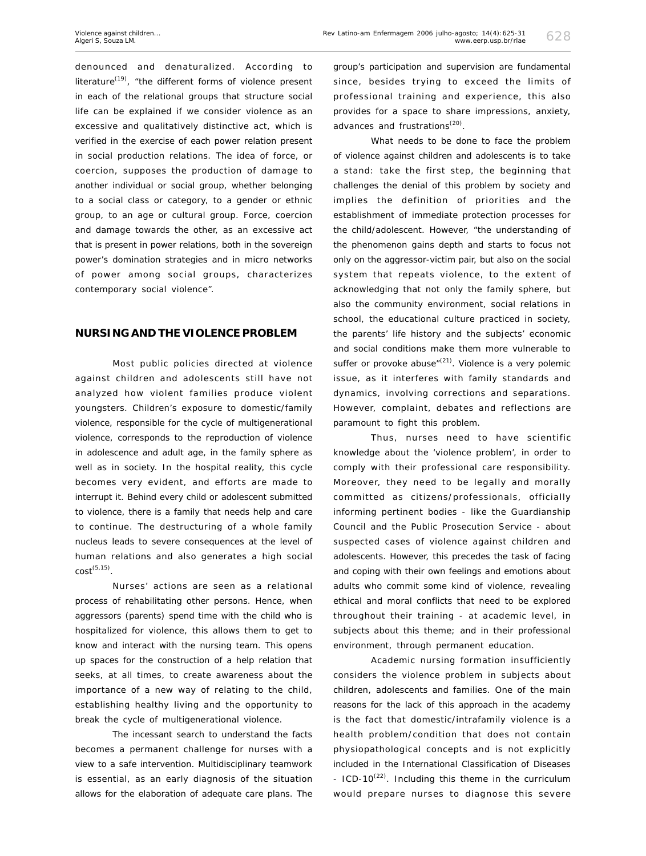denounced and denaturalized. According to literature<sup>(19)</sup>, "the different forms of violence present in each of the relational groups that structure social life can be explained if we consider violence as an excessive and qualitatively distinctive act, which is verified in the exercise of each power relation present in social production relations. The idea of force, or coercion, supposes the production of damage to another individual or social group, whether belonging to a social class or category, to a gender or ethnic group, to an age or cultural group. Force, coercion and damage towards the other, as an excessive act that is present in power relations, both in the sovereign power's domination strategies and in micro networks of power among social groups, characterizes contemporary social violence".

### **NURSING AND THE VIOLENCE PROBLEM**

Most public policies directed at violence against children and adolescents still have not analyzed how violent families produce violent youngsters. Children's exposure to domestic/family violence, responsible for the cycle of multigenerational violence, corresponds to the reproduction of violence in adolescence and adult age, in the family sphere as well as in society. In the hospital reality, this cycle becomes very evident, and efforts are made to interrupt it. Behind every child or adolescent submitted to violence, there is a family that needs help and care to continue. The destructuring of a whole family nucleus leads to severe consequences at the level of human relations and also generates a high social  $cost^{(5,15)}$ .

Nurses' actions are seen as a relational process of rehabilitating other persons. Hence, when aggressors (parents) spend time with the child who is hospitalized for violence, this allows them to get to know and interact with the nursing team. This opens up spaces for the construction of a help relation that seeks, at all times, to create awareness about the importance of a new way of relating to the child, establishing healthy living and the opportunity to break the cycle of multigenerational violence.

The incessant search to understand the facts becomes a permanent challenge for nurses with a view to a safe intervention. Multidisciplinary teamwork is essential, as an early diagnosis of the situation allows for the elaboration of adequate care plans. The group's participation and supervision are fundamental since, besides trying to exceed the limits of professional training and experience, this also provides for a space to share impressions, anxiety, advances and frustrations<sup>(20)</sup>.

What needs to be done to face the problem of violence against children and adolescents is to take a stand: take the first step, the beginning that challenges the denial of this problem by society and implies the definition of priorities and the establishment of immediate protection processes for the child/adolescent. However, "the understanding of the phenomenon gains depth and starts to focus not only on the aggressor-victim pair, but also on the social system that repeats violence, to the extent of acknowledging that not only the family sphere, but also the community environment, social relations in school, the educational culture practiced in society, the parents' life history and the subjects' economic and social conditions make them more vulnerable to suffer or provoke abuse" $(21)$ . Violence is a very polemic issue, as it interferes with family standards and dynamics, involving corrections and separations. However, complaint, debates and reflections are paramount to fight this problem.

Thus, nurses need to have scientific knowledge about the 'violence problem', in order to comply with their professional care responsibility. Moreover, they need to be legally and morally committed as citizens/professionals, officially informing pertinent bodies - like the Guardianship Council and the Public Prosecution Service - about suspected cases of violence against children and adolescents. However, this precedes the task of facing and coping with their own feelings and emotions about adults who commit some kind of violence, revealing ethical and moral conflicts that need to be explored throughout their training - at academic level, in subjects about this theme; and in their professional environment, through permanent education.

Academic nursing formation insufficiently considers the violence problem in subjects about children, adolescents and families. One of the main reasons for the lack of this approach in the academy is the fact that domestic/intrafamily violence is a health problem/condition that does not contain physiopathological concepts and is not explicitly included in the International Classification of Diseases - ICD-10 $^{(22)}$ . Including this theme in the curriculum would prepare nurses to diagnose this severe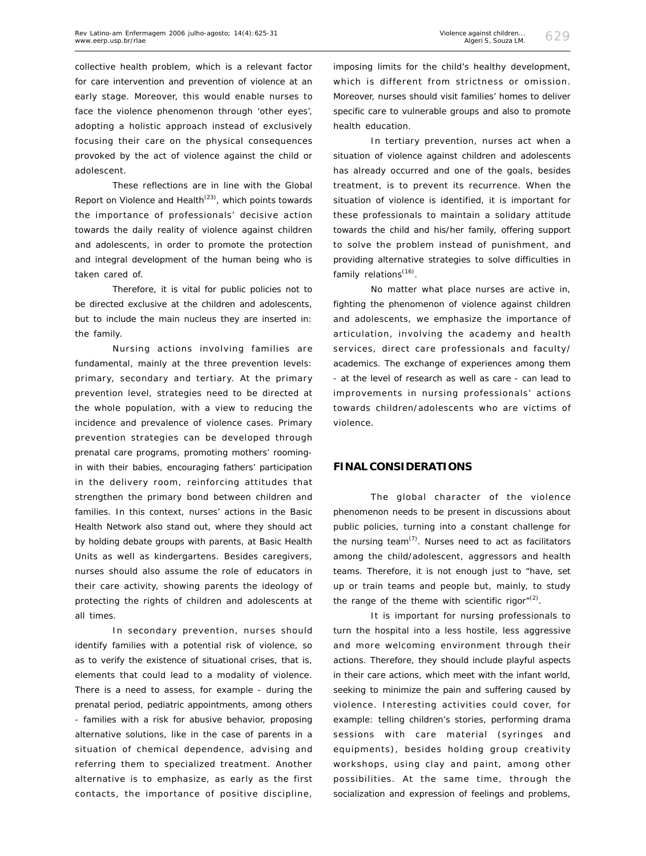collective health problem, which is a relevant factor for care intervention and prevention of violence at an early stage. Moreover, this would enable nurses to face the violence phenomenon through 'other eyes', adopting a holistic approach instead of exclusively focusing their care on the physical consequences provoked by the act of violence against the child or adolescent.

These reflections are in line with the Global Report on Violence and Health<sup> $(23)$ </sup>, which points towards the importance of professionals' decisive action towards the daily reality of violence against children and adolescents, in order to promote the protection and integral development of the human being who is taken cared of.

Therefore, it is vital for public policies not to be directed exclusive at the children and adolescents, but to include the main nucleus they are inserted in: the family.

Nursing actions involving families are fundamental, mainly at the three prevention levels: primary, secondary and tertiary. At the primary prevention level, strategies need to be directed at the whole population, with a view to reducing the incidence and prevalence of violence cases. Primary prevention strategies can be developed through prenatal care programs, promoting mothers' roomingin with their babies, encouraging fathers' participation in the delivery room, reinforcing attitudes that strengthen the primary bond between children and families. In this context, nurses' actions in the Basic Health Network also stand out, where they should act by holding debate groups with parents, at Basic Health Units as well as kindergartens. Besides caregivers, nurses should also assume the role of educators in their care activity, showing parents the ideology of protecting the rights of children and adolescents at all times.

In secondary prevention, nurses should identify families with a potential risk of violence, so as to verify the existence of situational crises, that is, elements that could lead to a modality of violence. There is a need to assess, for example - during the prenatal period, pediatric appointments, among others - families with a risk for abusive behavior, proposing alternative solutions, like in the case of parents in a situation of chemical dependence, advising and referring them to specialized treatment. Another alternative is to emphasize, as early as the first contacts, the importance of positive discipline,

imposing limits for the child's healthy development, which is different from strictness or omission. Moreover, nurses should visit families' homes to deliver specific care to vulnerable groups and also to promote health education.

In tertiary prevention, nurses act when a situation of violence against children and adolescents has already occurred and one of the goals, besides treatment, is to prevent its recurrence. When the situation of violence is identified, it is important for these professionals to maintain a solidary attitude towards the child and his/her family, offering support to solve the problem instead of punishment, and providing alternative strategies to solve difficulties in family relations<sup>(16)</sup>.

No matter what place nurses are active in, fighting the phenomenon of violence against children and adolescents, we emphasize the importance of articulation, involving the academy and health services, direct care professionals and faculty/ academics. The exchange of experiences among them - at the level of research as well as care - can lead to improvements in nursing professionals' actions towards children/adolescents who are victims of violence.

### **FINAL CONSIDERATIONS**

The global character of the violence phenomenon needs to be present in discussions about public policies, turning into a constant challenge for the nursing team $(7)$ . Nurses need to act as facilitators among the child/adolescent, aggressors and health teams. Therefore, it is not enough just to "have, set up or train teams and people but, mainly, to study the range of the theme with scientific rigor" $(2)$ .

It is important for nursing professionals to turn the hospital into a less hostile, less aggressive and more welcoming environment through their actions. Therefore, they should include playful aspects in their care actions, which meet with the infant world, seeking to minimize the pain and suffering caused by violence. Interesting activities could cover, for example: telling children's stories, performing drama sessions with care material (syringes and equipments), besides holding group creativity workshops, using clay and paint, among other possibilities. At the same time, through the socialization and expression of feelings and problems,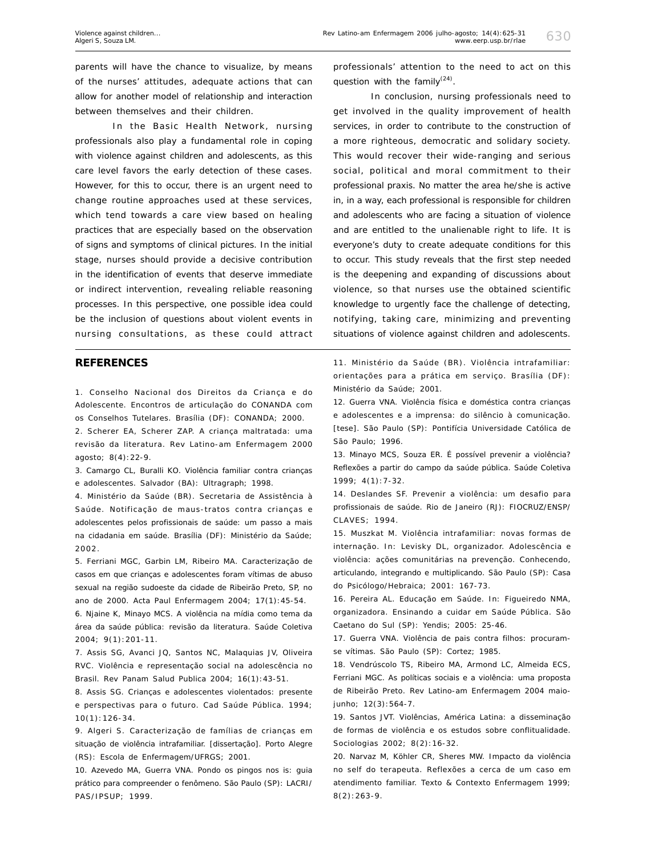parents will have the chance to visualize, by means of the nurses' attitudes, adequate actions that can allow for another model of relationship and interaction between themselves and their children.

In the Basic Health Network, nursing professionals also play a fundamental role in coping with violence against children and adolescents, as this care level favors the early detection of these cases. However, for this to occur, there is an urgent need to change routine approaches used at these services, which tend towards a care view based on healing practices that are especially based on the observation of signs and symptoms of clinical pictures. In the initial stage, nurses should provide a decisive contribution in the identification of events that deserve immediate or indirect intervention, revealing reliable reasoning processes. In this perspective, one possible idea could be the inclusion of questions about violent events in nursing consultations, as these could attract

#### **REFERENCES**

1. Conselho Nacional dos Direitos da Criança e do Adolescente. Encontros de articulação do CONANDA com os Conselhos Tutelares. Brasília (DF): CONANDA; 2000.

2. Scherer EA, Scherer ZAP. A criança maltratada: uma revisão da literatura. Rev Latino-am Enfermagem 2000 agosto; 8(4):22-9.

3. Camargo CL, Buralli KO. Violência familiar contra crianças e adolescentes. Salvador (BA): Ultragraph; 1998.

4. Ministério da Saúde (BR). Secretaria de Assistência à Saúde. Notificação de maus-tratos contra crianças e adolescentes pelos profissionais de saúde: um passo a mais na cidadania em saúde. Brasília (DF): Ministério da Saúde; 2002.

5. Ferriani MGC, Garbin LM, Ribeiro MA. Caracterização de casos em que crianças e adolescentes foram vítimas de abuso sexual na região sudoeste da cidade de Ribeirão Preto, SP, no ano de 2000. Acta Paul Enfermagem 2004; 17(1):45-54.

6. Njaine K, Minayo MCS. A violência na mídia como tema da área da saúde pública: revisão da literatura. Saúde Coletiva 2004; 9(1):201-11.

7. Assis SG, Avanci JQ, Santos NC, Malaquias JV, Oliveira RVC. Violência e representação social na adolescência no Brasil. Rev Panam Salud Publica 2004; 16(1):43-51.

8. Assis SG. Crianças e adolescentes violentados: presente e perspectivas para o futuro. Cad Saúde Pública. 1994; 10(1):126-34.

9. Algeri S. Caracterização de famílias de crianças em situação de violência intrafamiliar. [dissertação]. Porto Alegre (RS): Escola de Enfermagem/UFRGS; 2001.

10. Azevedo MA, Guerra VNA. Pondo os pingos nos is: guia prático para compreender o fenômeno. São Paulo (SP): LACRI/ PAS/IPSUP; 1999.

professionals' attention to the need to act on this question with the family $(24)$ .

In conclusion, nursing professionals need to get involved in the quality improvement of health services, in order to contribute to the construction of a more righteous, democratic and solidary society. This would recover their wide-ranging and serious social, political and moral commitment to their professional praxis. No matter the area he/she is active in, in a way, each professional is responsible for children and adolescents who are facing a situation of violence and are entitled to the unalienable right to life. It is everyone's duty to create adequate conditions for this to occur. This study reveals that the first step needed is the deepening and expanding of discussions about violence, so that nurses use the obtained scientific knowledge to urgently face the challenge of detecting, notifying, taking care, minimizing and preventing situations of violence against children and adolescents.

11. Ministério da Saúde (BR). Violência intrafamiliar: orientações para a prática em serviço. Brasília (DF): Ministério da Saúde; 2001.

12. Guerra VNA. Violência física e doméstica contra crianças e adolescentes e a imprensa: do silêncio à comunicação. [tese]. São Paulo (SP): Pontifícia Universidade Católica de São Paulo; 1996.

13. Minayo MCS, Souza ER. É possível prevenir a violência? Reflexões a partir do campo da saúde pública. Saúde Coletiva 1999; 4(1):7-32.

14. Deslandes SF. Prevenir a violência: um desafio para profissionais de saúde. Rio de Janeiro (RJ): FIOCRUZ/ENSP/ CLAVES; 1994.

15. Muszkat M. Violência intrafamiliar: novas formas de internação. In: Levisky DL, organizador. Adolescência e violência: ações comunitárias na prevenção. Conhecendo, articulando, integrando e multiplicando. São Paulo (SP): Casa do Psicólogo/Hebraica; 2001: 167-73.

16. Pereira AL. Educação em Saúde. In: Figueiredo NMA, organizadora. Ensinando a cuidar em Saúde Pública. São Caetano do Sul (SP): Yendis; 2005: 25-46.

17. Guerra VNA. Violência de pais contra filhos: procuramse vítimas. São Paulo (SP): Cortez; 1985.

18. Vendrúscolo TS, Ribeiro MA, Armond LC, Almeida ECS, Ferriani MGC. As políticas sociais e a violência: uma proposta de Ribeirão Preto. Rev Latino-am Enfermagem 2004 maiojunho; 12(3):564-7.

19. Santos JVT. Violências, América Latina: a disseminação de formas de violência e os estudos sobre conflitualidade. Sociologias 2002; 8(2):16-32.

20. Narvaz M, Köhler CR, Sheres MW. Impacto da violência no self do terapeuta. Reflexões a cerca de um caso em atendimento familiar. Texto & Contexto Enfermagem 1999; 8(2):263-9.